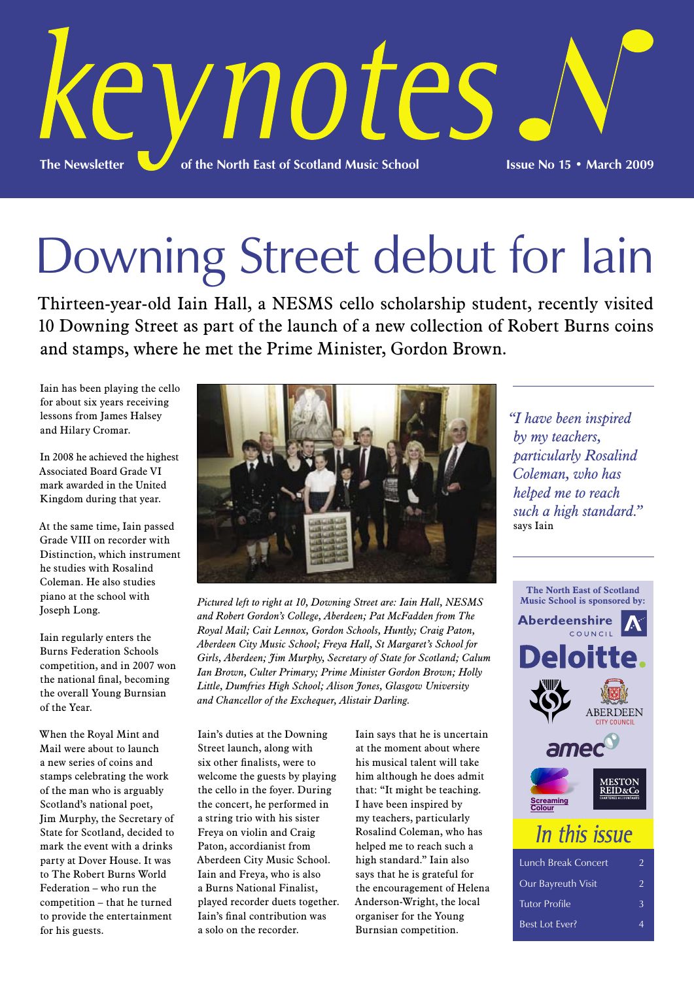

# Downing Street debut for Iain

Thirteen-year-old Iain Hall, a NESMS cello scholarship student, recently visited 10 Downing Street as part of the launch of a new collection of Robert Burns coins and stamps, where he met the Prime Minister, Gordon Brown.

Iain has been playing the cello for about six years receiving lessons from James Halsey and Hilary Cromar.

In 2008 he achieved the highest Associated Board Grade VI mark awarded in the United Kingdom during that year.

At the same time, Iain passed Grade VIII on recorder with Distinction, which instrument he studies with Rosalind Coleman. He also studies piano at the school with Joseph Long.

Iain regularly enters the Burns Federation Schools competition, and in 2007 won the national final, becoming the overall Young Burnsian of the Year.

When the Royal Mint and Mail were about to launch a new series of coins and stamps celebrating the work of the man who is arguably Scotland's national poet, Jim Murphy, the Secretary of State for Scotland, decided to mark the event with a drinks party at Dover House. It was to The Robert Burns World Federation – who run the competition – that he turned to provide the entertainment for his guests.



*Pictured left to right at 10, Downing Street are: Iain Hall, NESMS and Robert Gordon's College, Aberdeen; Pat McFadden from The Royal Mail; Cait Lennox, Gordon Schools, Huntly; Craig Paton, Aberdeen City Music School; Freya Hall, St Margaret's School for Girls, Aberdeen; Jim Murphy, Secretary of State for Scotland; Calum Ian Brown, Culter Primary; Prime Minister Gordon Brown; Holly Little, Dumfries High School; Alison Jones, Glasgow University and Chancellor of the Exchequer, Alistair Darling.*

Iain's duties at the Downing Street launch, along with six other finalists, were to welcome the guests by playing the cello in the foyer. During the concert, he performed in a string trio with his sister Freya on violin and Craig Paton, accordianist from Aberdeen City Music School. Iain and Freya, who is also a Burns National Finalist, played recorder duets together. Iain's final contribution was a solo on the recorder.

Iain says that he is uncertain at the moment about where his musical talent will take him although he does admit that: "It might be teaching. I have been inspired by my teachers, particularly Rosalind Coleman, who has helped me to reach such a high standard." Iain also says that he is grateful for the encouragement of Helena Anderson-Wright, the local organiser for the Young Burnsian competition.

*"I have been inspired by my teachers, particularly Rosalind Coleman, who has helped me to reach such a high standard."* says Iain



| <b>Lunch Break Concert</b> | $\mathcal{P}$ |
|----------------------------|---------------|
| Our Bayreuth Visit         | $\mathcal{P}$ |
| <b>Tutor Profile</b>       | 3             |
| Best Lot Ever?             |               |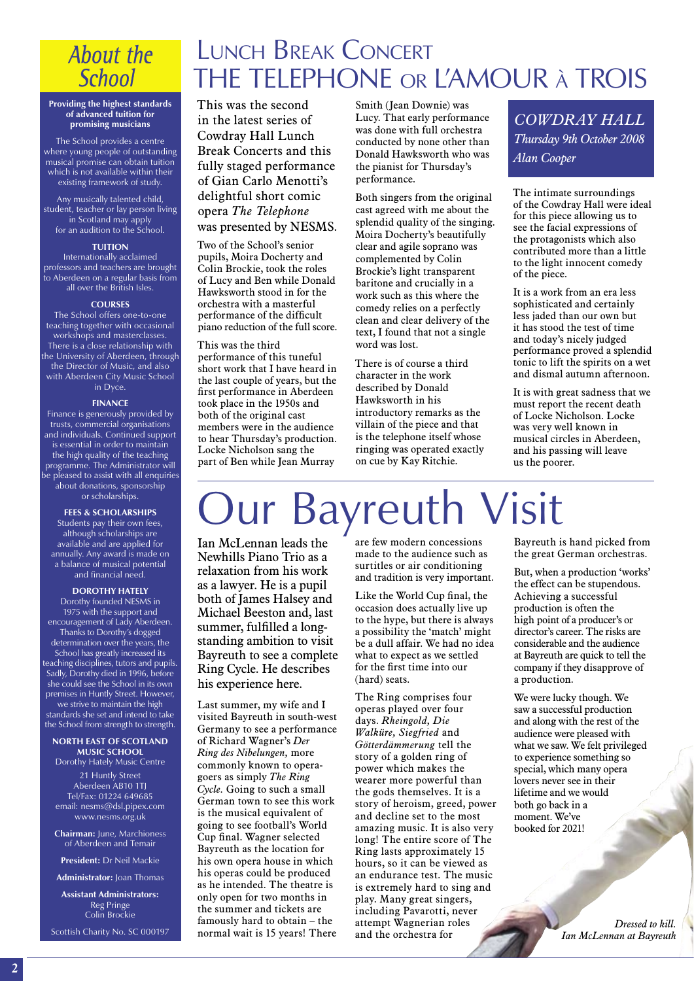### **About the School**

### Lunch Break Concert THE TELEPHONE or L'AMOUR <sup>à</sup> TROIS

**Providing the highest standards of advanced tuition for promising musicians**

The School provides a centre where young people of outstanding musical promise can obtain tuition which is not available within their existing framework of study.

Any musically talented child, student, teacher or lay person living in Scotland may apply for an audition to the School.

### **TUITION**

Internationally acclaimed professors and teachers are brought to Aberdeen on a regular basis from all over the British Isles.

### **COURSES**

The School offers one-to-one teaching together with occasional workshops and masterclasses. There is a close relationship with the University of Aberdeen, through the Director of Music, and also with Aberdeen City Music School in Dyce.

#### **FINANCE**

Finance is generously provided by trusts, commercial organisations and individuals. Continued support is essential in order to maintain the high quality of the teaching programme. The Administrator will be pleased to assist with all enquiries about donations, sponsorship or scholarships.

**FEES & SCHOLARSHIPS**

Students pay their own fees, although scholarships are available and are applied for annually. Any award is made on a balance of musical potential and financial need.

### **DOROTHY HATELY**

Dorothy founded NESMS in 1975 with the support and encouragement of Lady Aberdeen. Thanks to Dorothy's dogged determination over the years, the School has greatly increased its teaching disciplines, tutors and pupils. Sadly, Dorothy died in 1996, before she could see the School in its own premises in Huntly Street. However, we strive to maintain the high standards she set and intend to take the School from strength to strength.

#### **NORTH EAST OF SCOTLAND MUSIC SCHOOL**

Dorothy Hately Music Centre 21 Huntly Street Aberdeen AB10 1TJ Tel/Fax: 01224 649685 email: nesms@dsl.pipex.com www.nesms.org.uk

**Chairman:** June, Marchioness of Aberdeen and Temair

**President:** Dr Neil Mackie

**Administrator:** Joan Thomas

**Assistant Administrators:** Reg Pringe Colin Brockie

Scottish Charity No. SC 000197

This was the second in the latest series of Cowdray Hall Lunch Break Concerts and this fully staged performance of Gian Carlo Menotti's delightful short comic opera *The Telephone* was presented by NESMS.

Two of the School's senior pupils, Moira Docherty and Colin Brockie, took the roles of Lucy and Ben while Donald Hawksworth stood in for the orchestra with a masterful performance of the difficult piano reduction of the full score.

### This was the third

performance of this tuneful short work that I have heard in the last couple of years, but the first performance in Aberdeen took place in the 1950s and both of the original cast members were in the audience to hear Thursday's production. Locke Nicholson sang the part of Ben while Jean Murray

Smith (Jean Downie) was Lucy. That early performance was done with full orchestra conducted by none other than Donald Hawksworth who was the pianist for Thursday's performance.

Both singers from the original cast agreed with me about the splendid quality of the singing. Moira Docherty's beautifully clear and agile soprano was complemented by Colin Brockie's light transparent baritone and crucially in a work such as this where the comedy relies on a perfectly clean and clear delivery of the text, I found that not a single word was lost.

There is of course a third character in the work described by Donald Hawksworth in his introductory remarks as the villain of the piece and that is the telephone itself whose ringing was operated exactly on cue by Kay Ritchie.

*COWDRAY HALL Thursday 9th October 2008 Alan Cooper*

The intimate surroundings of the Cowdray Hall were ideal for this piece allowing us to see the facial expressions of the protagonists which also contributed more than a little to the light innocent comedy of the piece.

It is a work from an era less sophisticated and certainly less jaded than our own but it has stood the test of time and today's nicely judged performance proved a splendid tonic to lift the spirits on a wet and dismal autumn afternoon.

It is with great sadness that we must report the recent death of Locke Nicholson. Locke was very well known in musical circles in Aberdeen, and his passing will leave us the poorer.

# **Jur Bayreuth Visit**

Ian McLennan leads the Newhills Piano Trio as a relaxation from his work as a lawyer. He is a pupil both of James Halsey and Michael Beeston and, last summer, fulfilled a longstanding ambition to visit Bayreuth to see a complete Ring Cycle. He describes his experience here.

Last summer, my wife and I visited Bayreuth in south-west Germany to see a performance of Richard Wagner's *Der Ring des Nibelungen,* more commonly known to operagoers as simply *The Ring Cycle.* Going to such a small German town to see this work is the musical equivalent of going to see football's World Cup final. Wagner selected Bayreuth as the location for his own opera house in which his operas could be produced as he intended. The theatre is only open for two months in the summer and tickets are famously hard to obtain – the normal wait is 15 years! There

are few modern concessions made to the audience such as surtitles or air conditioning and tradition is very important.

Like the World Cup final, the occasion does actually live up to the hype, but there is always a possibility the 'match' might be a dull affair. We had no idea what to expect as we settled for the first time into our (hard) seats.

The Ring comprises four operas played over four days. *Rheingold, Die Walküre, Siegfried* and *Götterdämmerung* tell the story of a golden ring of power which makes the wearer more powerful than the gods themselves. It is a story of heroism, greed, power and decline set to the most amazing music. It is also very long! The entire score of The Ring lasts approximately 15 hours, so it can be viewed as an endurance test. The music is extremely hard to sing and play. Many great singers, including Pavarotti, never attempt Wagnerian roles and the orchestra for

Bayreuth is hand picked from the great German orchestras.

But, when a production 'works' the effect can be stupendous. Achieving a successful production is often the high point of a producer's or director's career. The risks are considerable and the audience at Bayreuth are quick to tell the company if they disapprove of a production.

We were lucky though. We saw a successful production and along with the rest of the audience were pleased with what we saw. We felt privileged to experience something so special, which many opera lovers never see in their lifetime and we would both go back in a moment. We've booked for 2021!

> *Dressed to kill. Ian McLennan at Bayreuth*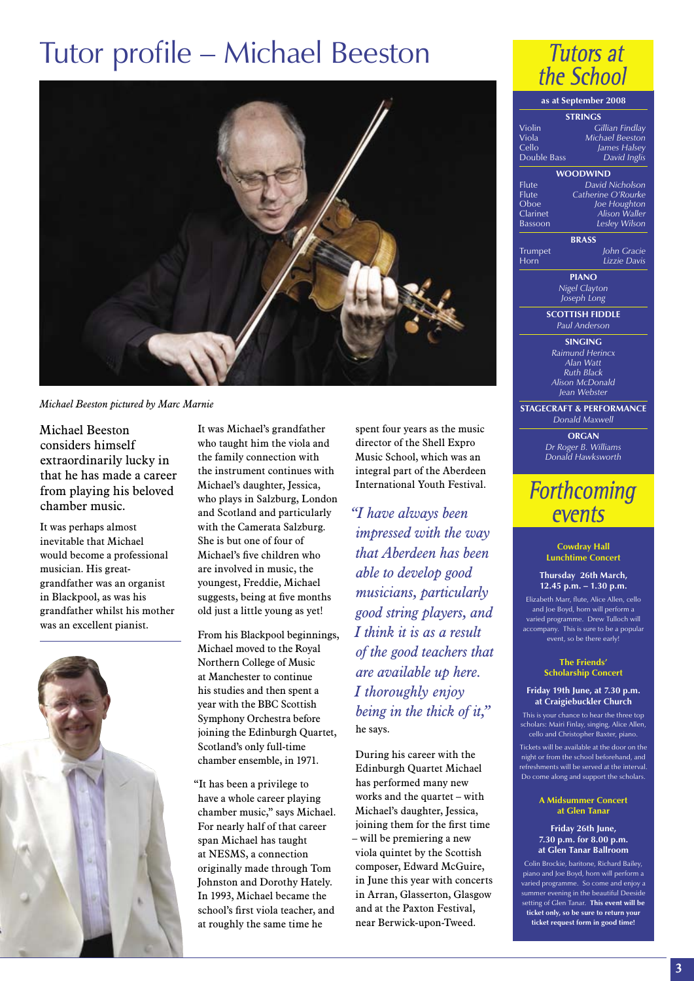## Tutor profile – Michael Beeston



*Michael Beeston pictured by Marc Marnie*

Michael Beeston considers himself extraordinarily lucky in that he has made a career from playing his beloved chamber music.

It was perhaps almost inevitable that Michael would become a professional musician. His greatgrandfather was an organist in Blackpool, as was his grandfather whilst his mother was an excellent pianist.



It was Michael's grandfather who taught him the viola and the family connection with the instrument continues with Michael's daughter, Jessica, who plays in Salzburg, London and Scotland and particularly with the Camerata Salzburg. She is but one of four of Michael's five children who are involved in music, the youngest, Freddie, Michael suggests, being at five months old just a little young as yet!

From his Blackpool beginnings, Michael moved to the Royal Northern College of Music at Manchester to continue his studies and then spent a year with the BBC Scottish Symphony Orchestra before joining the Edinburgh Quartet, Scotland's only full-time chamber ensemble, in 1971.

"It has been a privilege to have a whole career playing chamber music," says Michael. For nearly half of that career span Michael has taught at NESMS, a connection originally made through Tom Johnston and Dorothy Hately. In 1993, Michael became the school's first viola teacher, and at roughly the same time he

spent four years as the music director of the Shell Expro Music School, which was an integral part of the Aberdeen International Youth Festival.

*"I have always been impressed with the way that Aberdeen has been able to develop good musicians, particularly good string players, and I think it is as a result of the good teachers that are available up here. I thoroughly enjoy being in the thick of it,"* he says.

During his career with the Edinburgh Quartet Michael has performed many new works and the quartet – with Michael's daughter, Jessica, joining them for the first time – will be premiering a new viola quintet by the Scottish composer, Edward McGuire, in June this year with concerts in Arran, Glasserton, Glasgow and at the Paxton Festival, near Berwick-upon-Tweed.



### **as at September 2008**

| <b>STRINGS</b>             |                                     |  |
|----------------------------|-------------------------------------|--|
| Violin                     | Gillian Findlay                     |  |
| Viola                      | Michael Beeston                     |  |
| Cello                      | James Halsey                        |  |
| Double Bass                | David Inglis                        |  |
| <b>WOODWIND</b>            |                                     |  |
| Flute                      | David Nicholson                     |  |
| Flute                      | Catherine O'Rourke                  |  |
| Oboe                       | Joe Houghton                        |  |
| Clarinet                   | <b>Alison Waller</b>                |  |
| Bassoon                    | Lesley Wilson                       |  |
|                            | <b>BRASS</b>                        |  |
| Trumpet                    | John Gracie                         |  |
| $\overline{\mathsf{Horn}}$ | Lizzie Davis                        |  |
|                            | <b>PIANO</b>                        |  |
| Nigel Clayton              |                                     |  |
| Joseph Long                |                                     |  |
|                            | <b>SCOTTISH FIDDLE</b>              |  |
|                            | Paul Anderson                       |  |
|                            | <b>SINGING</b>                      |  |
|                            | Raimund Herincx                     |  |
|                            | Alan Watt                           |  |
| <b>Ruth Black</b>          |                                     |  |
| Alison McDonald            |                                     |  |
|                            | Jean Webster                        |  |
|                            | <b>STAGECRAFT &amp; PERFORMANCE</b> |  |
|                            | Donald Maxwell                      |  |

**ORGAN** *Dr Roger B. Williams Donald Hawksworth*

### **Forthcoming** events

**Cowdray Hall Lunchtime Concert**

**Thursday 26th March, 12.45 p.m. – 1.30 p.m.**

Elizabeth Marr, flute, Alice Allen, cello and Joe Boyd, horn will perform a varied programme. Drew Tulloch will accompany. This is sure to be a popular event, so be there early!

> **The Friends' Scholarship Concert**

### **Friday 19th June, at 7.30 p.m. at Craigiebuckler Church**

This is your chance to hear the three top scholars: Mairi Finlay, singing, Alice Allen, cello and Christopher Baxter, piano.

Tickets will be available at the door on the night or from the school beforehand, and refreshments will be served at the interval. Do come along and support the scholars.

#### **A Midsummer Concert at Glen Tanar**

#### **Friday 26th June, 7.30 p.m. for 8.00 p.m. at Glen Tanar Ballroom**

Colin Brockie, baritone, Richard Bailey, piano and Joe Boyd, horn will perform a varied programme. So come and enjoy a summer evening in the beautiful Deeside setting of Glen Tanar. **This event will be ticket only, so be sure to return your ticket request form in good time!**